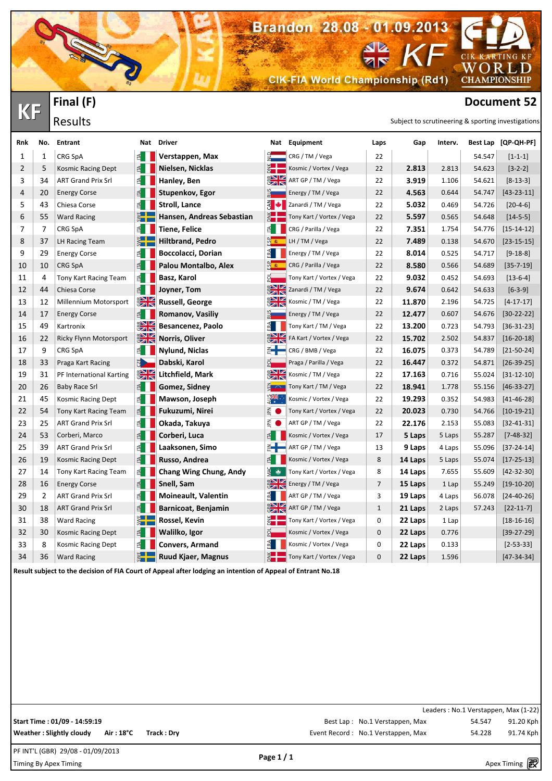**CIK-FIA World Championship (Rd1)** 

Brandon 28.08 - 01.09.2013

**KARTING KF** 

WORLD **CHAMPIONSHIP** 

**Document 52**<br> **Document 52**<br> **Results Results** 

 $C1K$ 

| Rnk | No.            | <b>Entrant</b>               |               | Nat Driver                |                                     | Nat Equipment             | Laps           | Gap     | Interv. |        | Best Lap [QP-QH-PF] |
|-----|----------------|------------------------------|---------------|---------------------------|-------------------------------------|---------------------------|----------------|---------|---------|--------|---------------------|
| 1   | $\mathbf{1}$   | CRG SpA                      | ≦∣            | Verstappen, Max           | $\frac{1}{2}$                       | CRG / TM / Vega           | 22             |         |         | 54.547 | $[1 - 1 - 1]$       |
| 2   | 5              | Kosmic Racing Dept           | ≝∎            | Nielsen, Nicklas          | 計                                   | Kosmic / Vortex / Vega    | 22             | 2.813   | 2.813   | 54.623 | $[3-2-2]$           |
| 3   | 34             | <b>ART Grand Prix Srl</b>    | ≦ !           | Hanley, Ben               |                                     | ART GP / TM / Vega        | 22             | 3.919   | 1.106   | 54.621 | $[8-13-3]$          |
| 4   | 20             | <b>Energy Corse</b>          |               | Stupenkov, Egor           |                                     | Energy / TM / Vega        | 22             | 4.563   | 0.644   | 54.747 | $[43 - 23 - 11]$    |
| 5   | 43             | Chiesa Corse                 | ≝∎            | <b>Stroll, Lance</b>      | $\frac{2}{3}$ $\bullet$ $\parallel$ | Zanardi / TM / Vega       | 22             | 5.032   | 0.469   | 54.726 | $[20-4-6]$          |
| 6   | 55             | <b>Ward Racing</b>           |               | Hansen, Andreas Sebastian |                                     | Tony Kart / Vortex / Vega | 22             | 5.597   | 0.565   | 54.648 | $[14 - 5 - 5]$      |
| 7   | 7              | CRG SpA                      | ≦ !           | <b>Tiene, Felice</b>      | $\leq$                              | CRG / Parilla / Vega      | 22             | 7.351   | 1.754   | 54.776 | $[15 - 14 - 12]$    |
| 8   | 37             | LH Racing Team               |               | <b>Hiltbrand, Pedro</b>   | 5 <sup>2</sup>                      | LH / TM / Vega            | 22             | 7.489   | 0.138   | 54.670 | $[23-15-15]$        |
| 9   | 29             | <b>Energy Corse</b>          | ≦ !           | <b>Boccolacci, Dorian</b> | ERA <sub>1</sub>                    | Energy / TM / Vega        | 22             | 8.014   | 0.525   | 54.717 | $[9-18-8]$          |
| 10  | 10             | CRG SpA                      | 1≦            | Palou Montalbo, Alex      | $\frac{a}{2}$                       | CRG / Parilla / Vega      | 22             | 8.580   | 0.566   | 54.689 | $[35 - 7 - 19]$     |
| 11  | 4              | Tony Kart Racing Team        | ≦ ∣           | Basz, Karol               | $\overline{5}$                      | Tony Kart / Vortex / Vega | 22             | 9.032   | 0.452   | 54.693 | $[13-6-4]$          |
| 12  | 44             | Chiesa Corse                 |               | Joyner, Tom               | <b>SAK</b>                          | Zanardi / TM / Vega       | 22             | 9.674   | 0.642   | 54.633 | $[6-3-9]$           |
| 13  | 12             | Millennium Motorsport        | <b>EXIC</b>   | Russell, George           | $rac{1}{2}$                         | Kosmic / TM / Vega        | 22             | 11.870  | 2.196   | 54.725 | $[4 - 17 - 17]$     |
| 14  | 17             | <b>Energy Corse</b>          |               | Romanov, Vasiliy          |                                     | Energy / TM / Vega        | 22             | 12.477  | 0.607   | 54.676 | $[30-22-22]$        |
| 15  | 49             | Kartronix                    | <b>EXIC</b>   | Besancenez, Paolo         | $E =$                               | Tony Kart / TM / Vega     | 22             | 13.200  | 0.723   | 54.793 | $[36 - 31 - 23]$    |
| 16  | 22             | Ricky Flynn Motorsport       | <b>ENR</b>    | Norris, Oliver            | $\frac{1}{2}$                       | FA Kart / Vortex / Vega   | 22             | 15.702  | 2.502   | 54.837 | $[16-20-18]$        |
| 17  | 9              | CRG SpA                      | ≦ ∐           | <b>Nylund, Niclas</b>     | a—                                  | CRG / BMB / Vega          | 22             | 16.075  | 0.373   | 54.789 | $[21 - 50 - 24]$    |
| 18  | 33             | Praga Kart Racing            | <b>用</b>      | Dabski, Karol             | $\frac{5}{5}$                       | Praga / Parilla / Vega    | 22             | 16.447  | 0.372   | 54.871 | $[26-39-25]$        |
| 19  | 31             | PF International Karting     | $\frac{1}{2}$ | Litchfield, Mark          |                                     | Kosmic / TM / Vega        | 22             | 17.163  | 0.716   | 55.024 | $[31 - 12 - 10]$    |
| 20  | 26             | <b>Baby Race Srl</b>         | ≝∎            | Gomez, Sidney             | $\frac{7}{5}$ $\sim$                | Tony Kart / TM / Vega     | 22             | 18.941  | 1.778   | 55.156 | $[46-33-27]$        |
| 21  | 45             | Kosmic Racing Dept           | ≝∎            | Mawson, Joseph            | ्त्रें हैं                          | Kosmic / Vortex / Vega    | 22             | 19.293  | 0.352   | 54.983 | $[41 - 46 - 28]$    |
| 22  | 54             | Tony Kart Racing Team        | ≝∎            | Fukuzumi, Nirei           | $\Sigma$ $\blacksquare$             | Tony Kart / Vortex / Vega | 22             | 20.023  | 0.730   | 54.766 | $[10-19-21]$        |
| 23  | 25             | <b>ART Grand Prix Srl</b>    |               | Okada, Takuya             | $\sum_{i=1}^{n}$                    | ART GP / TM / Vega        | 22             | 22.176  | 2.153   | 55.083 | $[32 - 41 - 31]$    |
| 24  | 53             | Corberi, Marco               |               | Corberi, Luca             | E                                   | Kosmic / Vortex / Vega    | 17             | 5 Laps  | 5 Laps  | 55.287 | $[7 - 48 - 32]$     |
| 25  | 39             | <b>ART Grand Prix Srl</b>    |               | Laaksonen, Simo           | €╋                                  | ART GP / TM / Vega        | 13             | 9 Laps  | 4 Laps  | 55.096 | $[37 - 24 - 14]$    |
| 26  | 19             | Kosmic Racing Dept           | 1≦            | Russo, Andrea             | E                                   | Kosmic / Vortex / Vega    | 8              | 14 Laps | 5 Laps  | 55.074 | $[17-25-13]$        |
| 27  | 14             | <b>Tony Kart Racing Team</b> |               | Chang Wing Chung, Andy    | 열 총                                 | Tony Kart / Vortex / Vega | 8              | 14 Laps | 7.655   | 55.609 | $[42-32-30]$        |
| 28  | 16             | <b>Energy Corse</b>          |               | Snell, Sam                | <b>ENK</b>                          | Energy / TM / Vega        | $\overline{7}$ | 15 Laps | 1 Lap   | 55.249 | $[19-10-20]$        |
| 29  | $\overline{2}$ | <b>ART Grand Prix Srl</b>    |               | Moineault, Valentin       | FA                                  | ART GP / TM / Vega        | 3              | 19 Laps | 4 Laps  | 56.078 | $[24 - 40 - 26]$    |
| 30  | 18             | <b>ART Grand Prix Srl</b>    |               | Barnicoat, Benjamin       | $\frac{1}{2}$                       | ART GP / TM / Vega        | $\mathbf{1}$   | 21 Laps | 2 Laps  | 57.243 | $[22 - 11 - 7]$     |
| 31  | 38             | <b>Ward Racing</b>           |               | Rossel, Kevin             | ž.                                  | Tony Kart / Vortex / Vega | 0              | 22 Laps | 1 Lap   |        | $[18 - 16 - 16]$    |
| 32  | 30             | Kosmic Racing Dept           | ≝∎            | Walilko, Igor             | 화                                   | Kosmic / Vortex / Vega    | $\mathbf{0}$   | 22 Laps | 0.776   |        | $[39-27-29]$        |
| 33  | 8              | Kosmic Racing Dept           |               | <b>Convers, Armand</b>    | $rac{A}{2}$                         | Kosmic / Vortex / Vega    | 0              | 22 Laps | 0.133   |        | $[2 - 53 - 33]$     |
| 34  | 36             | <b>Ward Racing</b>           | $rac{1}{2}$   | Ruud Kjaer, Magnus        | $\frac{1}{2}$                       | Tony Kart / Vortex / Vega | $\mathbf{0}$   | 22 Laps | 1.596   |        | $[47 - 34 - 34]$    |

**Result subject to the decision of FIA Court of Appeal after lodging an intention of Appeal of Entrant No.18**

| Start Time: 01/09 - 14:59:19 |            |     |
|------------------------------|------------|-----|
| Weather: Slightly cloudy     | Air : 18°C | Tra |

**Final (F)**

EN

Results

Leaders : No.1 Verstappen, Max (1-22) Best Lap : No.1 Verstappen, Max 54.547 91.20 Kph **ck : Dry Event Record : No.1 Verstappen, Max** 54.228 91.74 Kph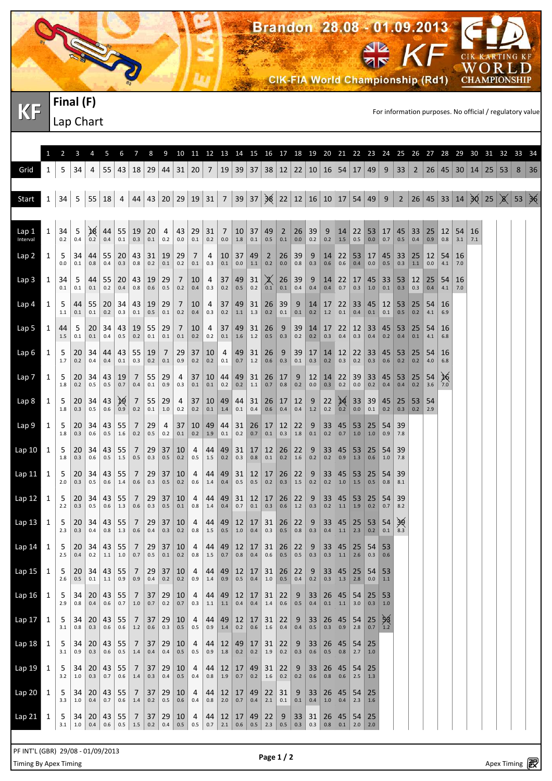

**KF** FINCH (F)<br> **KF** Langle Chart

|                   | 1            | $\overline{2}$ | 3             | 4             | 5             | 6             | 7                         | 8                      | 9               |               |                       |               |               |                |               | 10 11 12 13 14 15 16 17 18 19 20 21 22 23 24 |                |              |               |                                   |               |                     |                   |                         | 25        |           |           | 26 27 28 29         |           | 30                   | 31 32 |    | 33                     | 34 |
|-------------------|--------------|----------------|---------------|---------------|---------------|---------------|---------------------------|------------------------|-----------------|---------------|-----------------------|---------------|---------------|----------------|---------------|----------------------------------------------|----------------|--------------|---------------|-----------------------------------|---------------|---------------------|-------------------|-------------------------|-----------|-----------|-----------|---------------------|-----------|----------------------|-------|----|------------------------|----|
| Grid              | 1            | 5              | 34            | 4             | 55            | 43            | 18                        | 29                     | 44              | 31            | 20                    | 7             | 19            | 39             | 37            | 38                                           |                |              |               | $12 \mid 22 \mid 10 \mid 16 \mid$ | 54            | 17 49               |                   | 9                       | 33        | 2         | 26        | 45                  |           | $30 \mid 14 \mid 25$ |       | 53 | 8                      | 36 |
| Start             | $\mathbf{1}$ | 34             | 5             | 55            | 18            | 4             | 44                        | 43                     | 20 <sup>1</sup> | 29 19         |                       | 31            | 7             | 39             | 37            | $\frac{1}{28}$                               |                |              |               | 22   12   16   10                 | 17            | $54 \mid 49$        |                   | 9                       | 2         |           |           | $26$ 45 33 14 30 25 |           |                      |       |    | $\mid \chi \mid$ 53 36 |    |
| Lap 1             | 1            | 34             | 5             | ℣             | 44            | 55            | 19                        | 20                     | 4               | 43            | 29                    | 31            | 7             | 10             | 37            | 49                                           | $\overline{2}$ | 26           | 39            | 9                                 | 14            | 22                  | 53                | 17                      | 45        | 33        | 25        | 12                  | 54        | 16                   |       |    |                        |    |
| Interval          |              | 0.2            | 0.4           | 0.2           | 0.4           | 0.1           | 0.3                       | 0.1                    | 0.2             | 0.0           | 0.1                   | 0.2           | 0.0           | 1.8            | 0.1           | 0.5                                          | 0.1            | $0.0\,$      | 0.2           | 0.2                               | 1.5           | 0.5                 | 0.0               | 0.7                     | 0.5       | 0.4       | 0.9       | 0.8                 | 3.1       | 7.1                  |       |    |                        |    |
| Lap <sub>2</sub>  | 1            | 5<br>0.0       | 34<br>0.1     | 44<br>0.8     | 55<br>0.4     | 20<br>0.3     | 43<br>0.8                 | 31<br>0.2              | 19<br>0.1       | 29<br>0.2     | 7<br>0.1              | 4<br>0.3      | 10<br>0.1     | 37<br>0.0      | 49<br>1.1     | $\overline{2}$<br>0.2                        | 26<br>0.0      | 39<br>0.8    | 9<br>0.3      | 14<br>0.6                         | 22<br>0.6     | 53<br>0.4           | 17<br>0.0         | 45<br>0.5               | 33<br>0.3 | 25<br>1.1 | 12<br>0.0 | 54<br>4.1           | 16<br>7.0 |                      |       |    |                        |    |
| Lap 3             | 1            | 34<br>0.1      | 5<br>0.1      | 44<br>0.1     | 55<br>0.2     | 20<br>0.4     | 43<br>0.8                 | 19<br>0.6              | 29<br>0.5       | 7<br>0.2      | 10<br>0.4             | 4<br>0.3      | 37<br>0.2     | 49<br>0.5      | 31<br>0.2     | ✕<br>0.1                                     | 26<br>0.1      | 39<br>0.4    | 9<br>0.4      | 14<br>0.4                         | 22<br>0.7     | 17<br>0.3           | 45<br>1.0         | 33<br>0.1               | 53<br>0.3 | 12<br>0.3 | 25<br>0.4 | 54<br>4.1           | 16<br>7.0 |                      |       |    |                        |    |
| Lap <sub>4</sub>  | 1            | 5<br>1.1       | 44<br>0.1     | 55<br>0.1     | 20<br>0.2     | 34<br>0.3     | 43<br>0.1                 | 19<br>0.5              | 29<br>0.1       | 7<br>0.2      | 10<br>0.4             | 4<br>0.3      | 37<br>0.2     | 49<br>1.1      | 31<br>1.3     | 26<br>0.2                                    | 39<br>0.1      | 9<br>0.1     | 14<br>0.2     | 17<br>1.2                         | 22<br>0.1     | 33<br>0.4           | 45<br>0.1         | 12<br>0.1               | 53<br>0.5 | 25<br>0.2 | 54<br>4.1 | 16<br>6.9           |           |                      |       |    |                        |    |
| Lap 5             | 1            | 44<br>1.5      | 5<br>0.1      | 20<br>0.1     | 34<br>0.4     | 43<br>0.5     | 19<br>0.2                 | 55<br>0.1              | 29<br>0.1       | 7<br>0.1      | 10<br>0.2             | 4<br>0.2      | 37<br>0.1     | 49<br>1.6      | 31<br>1.2     | 26<br>0.5                                    | 9<br>0.3       | 39<br>0.2    | 14<br>0.2     | 17<br>0.3                         | 22<br>0.4     | $12 \mid 33$<br>0.3 | 0.4               | 45<br>0.2               | 53<br>0.4 | 25<br>0.1 | 54<br>4.1 | 16<br>6.8           |           |                      |       |    |                        |    |
| Lap 6             | 1            | 5<br>1.7       | 20<br>0.2     | 34<br>0.4     | 44<br>0.4     | 43<br>0.1     | 55<br>0.3                 | 19<br>0.2              | 7<br>0.1        | 29<br>0.9     | 37<br>0.2             | 10<br>0.2     | 4<br>0.1      | 49<br>0.7      | 31<br>1.2     | 26<br>0.6                                    | 9<br>0.3       | 39<br>0.1    | 17<br>0.3     | 14<br>0.2                         | 12<br>0.3     | $22 \mid 33$<br>0.2 | 0.3               | 45<br>0.6               | 53<br>0.2 | 25<br>0.2 | 54<br>4.0 | 16<br>6.8           |           |                      |       |    |                        |    |
| Lap 7             | 1            | 5<br>1.8       | 20<br>0.2     | 34<br>0.5     | 43<br>0.5     | 19<br>0.7     | 7<br>0.4                  | 55<br>0.1              | 29<br>0.9       | 4<br>0.3      | 37<br>0.1             | 10<br>0.1     | 44<br>0.2     | 49<br>0.2      | 31<br>$1.1$   | 26<br>0.7                                    | 17<br>0.8      | 9<br>0.2     | 12<br>0.0     | 14<br>0.3                         | 22<br>0.2     | 39<br>0.0           | 33<br>0.2         | 45<br>0.4               | 53<br>0.4 | 25<br>0.2 | 54<br>3.6 | 26<br>7.0           |           |                      |       |    |                        |    |
| Lap 8             | 1            | 5<br>1.8       | 20<br>0.3     | 34<br>0.5     | 43<br>0.6     | ₽₹<br>0.9     | 7<br>0.2                  | 55<br>0.1              | 29<br>1.0       | 4<br>0.2      | 37<br>0.2             | 10<br>0.1     | 49<br>1.4     | 44<br>0.1      | 31<br>0.4     | 26<br>0.6                                    | 17<br>0.4      | 12<br>0.4    | 9<br>1.2      | 22<br>0.2                         | 14<br>0.2     | 33<br>0.0           | 39<br>0.1         | 45<br>0.2               | 25<br>0.3 | 53<br>0.2 | 54<br>2.9 |                     |           |                      |       |    |                        |    |
| Lap 9             | 1            | 5<br>1.8       | 20<br>0.3     | 34<br>0.6     | 43<br>0.5     | 55<br>1.6     | 7<br>0.2                  | 29<br>0.5              | 4<br>0.2        | 37<br>0.1     | 10<br>0.2             | 49<br>1.9     | 44<br>0.1     | 31<br>0.2      | 26<br>0.7     | 17<br>0.1                                    | 12<br>0.3      | 22<br>1.8    | 9<br>0.1      | 33<br>0.2                         | 45<br>0.7     | 53<br>1.0           | 25<br>1.0         | 54<br>0.9               | 39<br>7.8 |           |           |                     |           |                      |       |    |                        |    |
| Lap 10            | 1            | 5<br>1.8       | 20<br>0.3     | 34<br>0.6     | 43<br>0.5     | 55<br>1.5     | 7<br>0.5                  | 29<br>0.3              | 37<br>0.5       | 10<br>0.2     | 4<br>0.5              | 44<br>1.5     | 49<br>0.2     | 31<br>0.3      | 17<br>0.8     | 12<br>0.1                                    | 26<br>0.2      | 22<br>1.6    | 9<br>0.2      | 33<br>0.2                         | 45<br>0.9     | 53<br>1.3           | 25<br>0.6         | 54<br>1.0               | 39<br>7.8 |           |           |                     |           |                      |       |    |                        |    |
| Lap 11            | $\mathbf{1}$ | 5<br>2.0       | 20<br>0.3     | 34<br>0.5     | 43<br>0.6     | 55<br>1.4     | 7<br>0.6                  | 29<br>0.3              | 37<br>0.5       | 10<br>0.2     | 4<br>0.6              | 44<br>1.4     | 49<br>0.4     | 31<br>0.5      | 12<br>0.5     | 17<br>0.2                                    | 26<br>0.3      | 22<br>1.5    | 9<br>0.2      | 33<br>0.2                         | 45<br>1.0     | 53<br>1.5           | 25<br>0.5         | 54<br>0.8               | 39<br>8.1 |           |           |                     |           |                      |       |    |                        |    |
| Lap 12            | 1            | 5              | 20            | 34            | 43            | 55            | 7                         | 29                     | 37              | 10            | 4                     | 44            | 49            | 31             | 12            | 17                                           | 26             | 22           | 9             | 33                                | 45            | 53                  | 25                | 54                      | 39        |           |           |                     |           |                      |       |    |                        |    |
| Lap 13            | 1            | 2.2<br>5       | 0.3<br>20     | 0.5<br>34     | 0.6<br>43     | 1.3<br>55     | 0.6<br>7                  | 0.3<br>29              | 0.5<br>37       | 0.1<br>10     | 0.8<br>4              | 1.4<br>44     | 0.4<br>49     | 0.7<br>12      | 0.1<br>17     | 0.3<br>31                                    | 0.6<br>26      | 1.2<br>22    | 0.3<br>9      | 0.2<br>33                         | 1.1<br>45     | 1.9<br>25           | 0.2<br>53         | 0.7<br>54               | 8.2<br>39 |           |           |                     |           |                      |       |    |                        |    |
| Lap 14            | 1            | 2.3<br>5       | 0.3<br>20     | 0.4<br>34     | 0.8<br>43     | 1.3<br>55     | 0.6<br>7                  | 0.4<br>29              | 0.3<br>37       | 0.2<br>10     | 0.8<br>4              | 1.5<br>44     | 0.5<br>49     | 1.0<br>12      | 0.4<br>17     | 0.3<br>31                                    | 0.5<br>26      | 0.8<br>22    | 0.3<br>9      | 0.4<br>33                         | 1.1<br>45     | 2.3<br>25           | 0.2<br>54         | 0.1<br>53               | 8.3       |           |           |                     |           |                      |       |    |                        |    |
| Lap <sub>15</sub> | 1            | 2.5<br>5       | 0.4<br>20     | 0.2<br>34     | 1.1<br>43     | 1.0<br>55     | 0.7<br>7                  | 0.5<br>29              | 0.1<br>37       | 0.2<br>10     | 0.8<br>$\overline{4}$ | 1.5<br>44     | 0.7<br>49     | 0.8<br>12      | 0.4<br>17     | 0.6<br>31                                    | 0.5<br>26      | 0.5<br>22    | 0.3<br>9      | 0.3<br>33                         | 1.1<br>45     | 2.6<br>25           | 0.3<br>54         | 0.6<br>53               |           |           |           |                     |           |                      |       |    |                        |    |
| Lap16             | 1            | 2.6<br>5       | $0.5\,$<br>34 | $0.1\,$<br>20 | $1.1\,$<br>43 | 0.9<br>55     | 0.9<br>7                  | 0.4<br>37              | $0.2\,$<br>29   | $0.2\,$<br>10 | 0.9<br>4              | $1.4\,$<br>44 | 0.9<br>49     | 0.5<br>12      | $0.4\,$<br>17 | $1.0\,$<br>31                                | $0.5\,$<br>22  | 0.4<br>9     | $0.2\,$<br>33 | 0.3<br>26                         | $1.3$<br>45   | $2.8$<br>54         | $0.0\,$<br>25     | $1.1\,$<br>53           |           |           |           |                     |           |                      |       |    |                        |    |
|                   |              | 2.9            | 0.8           | 0.4           | $0.6\,$       | $0.7\,$       | $1.0\,$                   | $0.7\,$                | $0.2\,$         | $0.7\,$       | 0.3                   | $1.1\,$       | $1.1\,$       | $0.4\,$        | 0.4           | 1.4                                          | $0.6\,$        | $0.5\,$      | 0.4           | $0.1\,$                           | 1.1           | 3.0                 | 0.3               | 1.0                     |           |           |           |                     |           |                      |       |    |                        |    |
| Lap 17            | 1            | 5<br>3.1       | 34<br>0.8     | 20<br>0.3     | 43<br>0.6     | 55<br>$0.6\,$ | 7<br>$1.2\,$              | 37<br>$0.6\,$          | 29<br>$0.3\,$   | 10<br>$0.5\,$ | 4<br>0.5              | 44<br>0.9     | 49<br>1.4     | 12 <br>$0.2\,$ | 17<br>0.6     | 31<br>$1.6\,$                                | 22<br>$0.4\,$  | 9<br>$0.4\,$ | 33<br>0.5     | 26<br>0.3                         | 45<br>0.9     | $54$ 25<br>2.8      | $\vert 0.7 \vert$ | 58<br>$\vert 1.2 \vert$ |           |           |           |                     |           |                      |       |    |                        |    |
| Lap 18            | 1            | 5<br>3.1       | 34<br>0.9     | 20<br>0.3     | 43<br>$0.6\,$ | 55<br>$0.5\,$ | 7<br>$1.4\,$              | 37<br>$0.4\,$          | 29<br>0.4       | 10<br>$0.5\,$ | 4<br>0.5              | 44<br>0.9     | 12<br>1.8     | 49<br>0.2      | 17<br>$0.2\,$ | 31<br>$1.9\,$                                | 22<br>0.2      | 9<br>0.3     | 33<br>0.6     | 26<br>$0.5\,$                     | 45<br>$0.8\,$ | 54<br>2.7           | 25<br>1.0         |                         |           |           |           |                     |           |                      |       |    |                        |    |
| Lap 19            | 1            | 5<br>3.2       | 34<br>$1.0\,$ | 20<br>0.3     | 43<br>0.7     | 55<br>$0.6\,$ | 7<br>$1.4\,$              | 37<br>0.3              | 29<br>0.4       | 10<br>$0.5\,$ | 4<br>0.4              | 44<br>0.8     | 12<br>$1.9\,$ | 17<br>$0.7\,$  | 49<br>0.2     | 31<br>$1.6\,$                                | 22<br>$0.2\,$  | 9<br>0.2     | 33<br>0.6     | 26<br>$0.8\,$                     | 45<br>0.6     | $54$ 25<br>$2.5\,$  | 1.3               |                         |           |           |           |                     |           |                      |       |    |                        |    |
| Lap 20            | 1            | 5<br>3.3       | 34<br>$1.0\,$ | 20<br>0.4     | 43<br>0.7     | 55<br>$0.6\,$ | 7<br>$1.4\,$              | 37<br>$0.2\,$          | 29<br>$0.5\,$   | 10<br>$0.6\,$ | 4<br>0.4              | 44<br>0.8     | 12<br>$2.0\,$ | 17<br>$0.7\,$  | 49<br>0.4     | 22<br>$2.1\,$                                | 31<br>0.1      | 9<br>$0.1\,$ | 33<br>0.4     | 26<br>$1.0\,$                     | 45<br>0.4     | 54<br>2.3           | 25<br> 1.6        |                         |           |           |           |                     |           |                      |       |    |                        |    |
| Lap 21            | 1            | 5<br>3.1       | 34<br>$1.0\,$ | 20<br>0.4     | 43<br>0.6     | 55<br>$0.5\,$ | $\overline{7}$<br>$1.5\,$ | 37 <sup>2</sup><br>0.2 | 29<br>0.4       | 10<br>$0.5\,$ | 4<br>0.5              | 44<br>$0.7\,$ | 12<br>2.1     | 17<br>0.6      | 49<br>0.5     | 22<br>$2.3\,$                                | 9<br>$0.5\,$   | 33<br>0.3    | 31<br>0.3     | 26<br>0.8                         | 45<br>0.1     | 54<br>2.0           | 25<br>2.0         |                         |           |           |           |                     |           |                      |       |    |                        |    |

Page 1 / 2<br>Timing By Apex Timing Apex Timing Apex Timing and services http://www.apex.com/www.apex.com/www.apex.com/www.apex.com/ PF INT'L (GBR) 29/08 - 01/09/2013

Lap Chart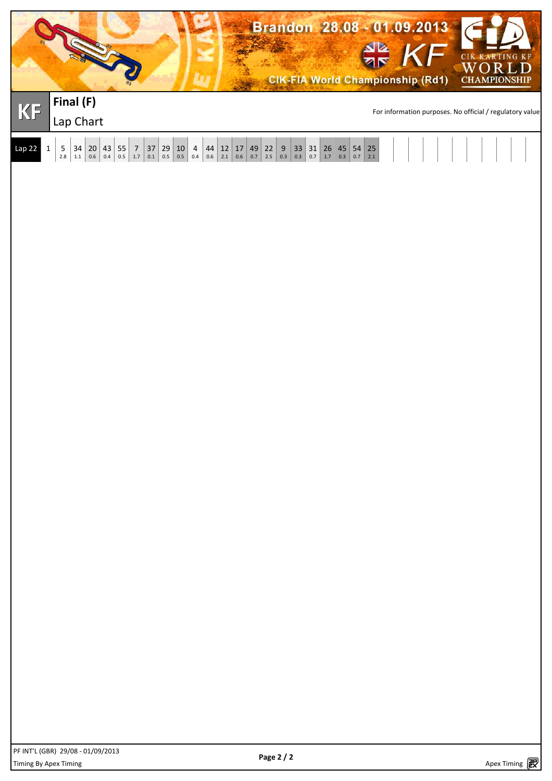|          |                                                                                                                     |                                              |                                                     |                                                                                      |                                                 |                                         |                                                                                                       | See. |                                                                                                | Brandon 28.08 - 01.09.2013<br><b>CIK-FIA World Championship (Rd1)</b> |                                                             |  | <b>SIE KF</b> |                                                          | CIK KARTING KF<br>$\overline{\mathbf{R}}$<br><b>CHAMPIONSHIP</b> |  |
|----------|---------------------------------------------------------------------------------------------------------------------|----------------------------------------------|-----------------------------------------------------|--------------------------------------------------------------------------------------|-------------------------------------------------|-----------------------------------------|-------------------------------------------------------------------------------------------------------|------|------------------------------------------------------------------------------------------------|-----------------------------------------------------------------------|-------------------------------------------------------------|--|---------------|----------------------------------------------------------|------------------------------------------------------------------|--|
| KF       | Final (F)<br>Lap Chart                                                                                              |                                              |                                                     |                                                                                      |                                                 |                                         |                                                                                                       |      |                                                                                                |                                                                       |                                                             |  |               | For information purposes. No official / regulatory value |                                                                  |  |
| $Lap$ 22 | $\mathbf{1}$<br>$\left  \begin{array}{c} 34 \\ 1.1 \end{array} \right $<br>$\begin{bmatrix} 5 \\ 2.8 \end{bmatrix}$ | $\begin{bmatrix} 20 \\ 0.6 \end{bmatrix}$ 43 | $\begin{bmatrix} 55 & 7 \\ 0.5 & 1.7 \end{bmatrix}$ | $\begin{array}{c} 37 \\ 0.1 \end{array}$<br>$\begin{array}{c} 29 \\ 0.5 \end{array}$ | $\begin{array}{c} 10 \\ \hline 0.5 \end{array}$ | $\begin{array}{c} 4 \\ 0.4 \end{array}$ | $44$ $\begin{array}{ c c c c c } \hline 12 & 17 & 49 & 22 \\ 0.6 & 2.1 & 0.6 & 0.7 & 2.5 \end{array}$ |      | $\begin{array}{ c c c c }\n 9 & 33 & 31 & 26 \\  \hline\n 0.3 & 0.3 & 0.7 & 1.7\n \end{array}$ | $\begin{array}{ c c }\n 45 \\  0.3 \\  \hline\n\end{array}$           | $\begin{array}{ c c }\n 54 & 25 \\  0.7 & 2.1\n\end{array}$ |  |               |                                                          |                                                                  |  |
|          |                                                                                                                     |                                              |                                                     |                                                                                      |                                                 |                                         |                                                                                                       |      |                                                                                                |                                                                       |                                                             |  |               |                                                          |                                                                  |  |
|          |                                                                                                                     |                                              |                                                     |                                                                                      |                                                 |                                         |                                                                                                       |      |                                                                                                |                                                                       |                                                             |  |               |                                                          |                                                                  |  |
|          |                                                                                                                     |                                              |                                                     |                                                                                      |                                                 |                                         |                                                                                                       |      |                                                                                                |                                                                       |                                                             |  |               |                                                          |                                                                  |  |
|          |                                                                                                                     |                                              |                                                     |                                                                                      |                                                 |                                         |                                                                                                       |      |                                                                                                |                                                                       |                                                             |  |               |                                                          |                                                                  |  |
|          |                                                                                                                     |                                              |                                                     |                                                                                      |                                                 |                                         |                                                                                                       |      |                                                                                                |                                                                       |                                                             |  |               |                                                          |                                                                  |  |
|          |                                                                                                                     |                                              |                                                     |                                                                                      |                                                 |                                         |                                                                                                       |      |                                                                                                |                                                                       |                                                             |  |               |                                                          |                                                                  |  |
|          |                                                                                                                     |                                              |                                                     |                                                                                      |                                                 |                                         |                                                                                                       |      |                                                                                                |                                                                       |                                                             |  |               |                                                          |                                                                  |  |
|          |                                                                                                                     |                                              |                                                     |                                                                                      |                                                 |                                         |                                                                                                       |      |                                                                                                |                                                                       |                                                             |  |               |                                                          |                                                                  |  |
|          |                                                                                                                     |                                              |                                                     |                                                                                      |                                                 |                                         |                                                                                                       |      |                                                                                                |                                                                       |                                                             |  |               |                                                          |                                                                  |  |
|          |                                                                                                                     |                                              |                                                     |                                                                                      |                                                 |                                         |                                                                                                       |      |                                                                                                |                                                                       |                                                             |  |               |                                                          |                                                                  |  |
|          |                                                                                                                     |                                              |                                                     |                                                                                      |                                                 |                                         |                                                                                                       |      |                                                                                                |                                                                       |                                                             |  |               |                                                          |                                                                  |  |
|          |                                                                                                                     |                                              |                                                     |                                                                                      |                                                 |                                         |                                                                                                       |      |                                                                                                |                                                                       |                                                             |  |               |                                                          |                                                                  |  |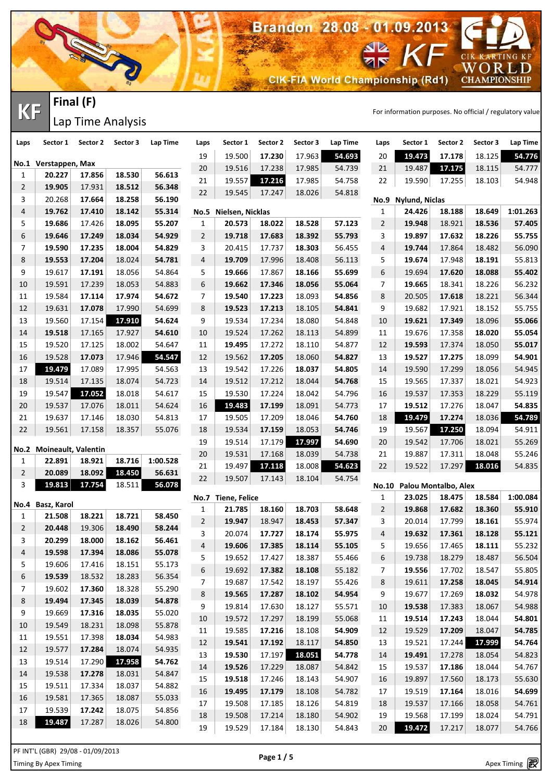**CIK-FIA World Championship (Rd1)** 

Brandon 28.08 - 01.09.2013

CIK KARTING KF

WORLD<br>CHAMPIONSHIP

**KF** FINCH (F)<br> **KF** Time Applysis **Final (F)** Lap Time Analysis

N

| Laps           | Sector 1                 | Sector 2                          | Sector 3         | Lap Time         | Laps                | Sector 1                   | Sector 2 | Sector 3 | Lap Time | Laps                | Sector 1                        | Sector 2         | Sector 3 | Lap Time |
|----------------|--------------------------|-----------------------------------|------------------|------------------|---------------------|----------------------------|----------|----------|----------|---------------------|---------------------------------|------------------|----------|----------|
|                |                          |                                   |                  |                  | 19                  | 19.500                     | 17.230   | 17.963   | 54.693   | 20                  | 19.473                          | 17.178           | 18.125   | 54.776   |
|                | No.1 Verstappen, Max     |                                   |                  |                  | 20                  | 19.516                     | 17.238   | 17.985   | 54.739   | 21                  | 19.487                          | 17.175           | 18.115   | 54.777   |
| 1              | 20.227                   | 17.856                            | 18.530           | 56.613           | 21                  | 19.557                     | 17.216   | 17.985   | 54.758   | 22                  | 19.590                          | 17.255           | 18.103   | 54.948   |
| $\overline{2}$ | 19.905                   | 17.931                            | 18.512           | 56.348           | 22                  | 19.545                     | 17.247   | 18.026   | 54.818   |                     |                                 |                  |          |          |
| 3<br>4         | 20.268                   | 17.664<br>17.410                  | 18.258           | 56.190<br>55.314 |                     |                            |          |          |          | <b>No.9</b>         | <b>Nylund, Niclas</b><br>24.426 | 18.188           | 18.649   | 1:01.263 |
| 5              | 19.762<br>19.686         | 17.426                            | 18.142<br>18.095 | 55.207           | <b>No.5</b>         | Nielsen, Nicklas<br>20.573 | 18.022   | 18.528   | 57.123   | 1<br>$\overline{2}$ | 19.948                          |                  | 18.536   | 57.405   |
| 6              | 19.646                   | 17.249                            | 18.034           | 54.929           | 1<br>$\overline{2}$ | 19.718                     | 17.683   | 18.392   | 55.793   | 3                   | 19.897                          | 18.921<br>17.632 | 18.226   | 55.755   |
| 7              | 19.590                   | 17.235                            | 18.004           | 54.829           | 3                   | 20.415                     | 17.737   | 18.303   | 56.455   | 4                   | 19.744                          | 17.864           | 18.482   | 56.090   |
| 8              | 19.553                   | 17.204                            | 18.024           | 54.781           | 4                   | 19.709                     | 17.996   | 18.408   | 56.113   | 5                   | 19.674                          | 17.948           | 18.191   | 55.813   |
| 9              | 19.617                   | 17.191                            | 18.056           | 54.864           | 5                   | 19.666                     | 17.867   | 18.166   | 55.699   | 6                   | 19.694                          | 17.620           | 18.088   | 55.402   |
| 10             | 19.591                   | 17.239                            | 18.053           | 54.883           | 6                   | 19.662                     | 17.346   | 18.056   | 55.064   | 7                   | 19.665                          | 18.341           | 18.226   | 56.232   |
| 11             | 19.584                   | 17.114                            | 17.974           | 54.672           | 7                   | 19.540                     | 17.223   | 18.093   | 54.856   | 8                   | 20.505                          | 17.618           | 18.221   | 56.344   |
| 12             | 19.631                   | 17.078                            | 17.990           | 54.699           | 8                   | 19.523                     | 17.213   | 18.105   | 54.841   | 9                   | 19.682                          | 17.921           | 18.152   | 55.755   |
| 13             | 19.560                   | 17.154                            | 17.910           | 54.624           | 9                   | 19.534                     | 17.234   | 18.080   | 54.848   | 10                  | 19.621                          | 17.349           | 18.096   | 55.066   |
| 14             | 19.518                   | 17.165                            | 17.927           | 54.610           | 10                  | 19.524                     | 17.262   | 18.113   | 54.899   | 11                  | 19.676                          | 17.358           | 18.020   | 55.054   |
| 15             | 19.520                   | 17.125                            | 18.002           | 54.647           | 11                  | 19.495                     | 17.272   | 18.110   | 54.877   | 12                  | 19.593                          | 17.374           | 18.050   | 55.017   |
| 16             | 19.528                   | 17.073                            | 17.946           | 54.547           | 12                  | 19.562                     | 17.205   | 18.060   | 54.827   | 13                  | 19.527                          | 17.275           | 18.099   | 54.901   |
| 17             | 19.479                   | 17.089                            | 17.995           | 54.563           | 13                  | 19.542                     | 17.226   | 18.037   | 54.805   | 14                  | 19.590                          | 17.299           | 18.056   | 54.945   |
| 18             | 19.514                   | 17.135                            | 18.074           | 54.723           | 14                  | 19.512                     | 17.212   | 18.044   | 54.768   | 15                  | 19.565                          | 17.337           | 18.021   | 54.923   |
| 19             | 19.547                   | 17.052                            | 18.018           | 54.617           | 15                  | 19.530                     | 17.224   | 18.042   | 54.796   | 16                  | 19.537                          | 17.353           | 18.229   | 55.119   |
| 20             | 19.537                   | 17.076                            | 18.011           | 54.624           | 16                  | 19.483                     | 17.199   | 18.091   | 54.773   | 17                  | 19.512                          | 17.276           | 18.047   | 54.835   |
| 21             | 19.637                   | 17.146                            | 18.030           | 54.813           | 17                  | 19.505                     | 17.209   | 18.046   | 54.760   | 18                  | 19.479                          | 17.274           | 18.036   | 54.789   |
| 22             | 19.561                   | 17.158                            | 18.357           | 55.076           | 18                  | 19.534                     | 17.159   | 18.053   | 54.746   | 19                  | 19.567                          | 17.250           | 18.094   | 54.911   |
|                |                          |                                   |                  |                  | 19                  | 19.514                     | 17.179   | 17.997   | 54.690   | 20                  | 19.542                          | 17.706           | 18.021   | 55.269   |
|                | No.2 Moineault, Valentin |                                   |                  |                  | 20                  | 19.531                     | 17.168   | 18.039   | 54.738   | 21                  | 19.887                          | 17.311           | 18.048   | 55.246   |
| 1              | 22.891                   | 18.921                            | 18.716           | 1:00.528         | 21                  | 19.497                     | 17.118   | 18.008   | 54.623   | 22                  | 19.522                          | 17.297           | 18.016   | 54.835   |
| $\overline{2}$ | 20.089                   | 18.092                            | 18.450           | 56.631           | 22                  | 19.507                     | 17.143   | 18.104   | 54.754   |                     |                                 |                  |          |          |
| 3              | 19.813                   | 17.754                            | 18.511           | 56.078           |                     |                            |          |          |          |                     | No.10 Palou Montalbo, Alex      |                  |          |          |
| No.4           | Basz, Karol              |                                   |                  |                  | No.7                | <b>Tiene, Felice</b>       |          |          |          | 1                   | 23.025                          | 18.475           | 18.584   | 1:00.084 |
| 1              | 21.508                   | 18.221                            | 18.721           | 58.450           | 1                   | 21.785                     | 18.160   | 18.703   | 58.648   | $\overline{2}$      | 19.868                          | 17.682           | 18.360   | 55.910   |
| $\overline{2}$ | 20.448                   | 19.306                            | 18.490           | 58.244           | $\overline{2}$      | 19.947                     | 18.947   | 18.453   | 57.347   | 3                   | 20.014                          | 17.799           | 18.161   | 55.974   |
| 3              | 20.299                   | 18.000                            | 18.162           | 56.461           | 3                   | 20.074                     | 17.727   | 18.174   | 55.975   | 4                   | 19.632                          | 17.361           | 18.128   | 55.121   |
| 4              | 19.598                   | 17.394                            | 18.086           | 55.078           | $\overline{4}$      | 19.606                     | 17.385   | 18.114   | 55.105   | 5                   | 19.656                          | 17.465           | 18.111   | 55.232   |
| 5              | 19.606                   | 17.416                            | 18.151           | 55.173           | 5                   | 19.652                     | 17.427   | 18.387   | 55.466   | 6                   | 19.738                          | 18.279           | 18.487   | 56.504   |
| 6              | 19.539                   | 18.532                            | 18.283           | 56.354           | 6                   | 19.692                     | 17.382   | 18.108   | 55.182   | 7                   | 19.556                          | 17.702           | 18.547   | 55.805   |
| $\overline{7}$ | 19.602                   | 17.360                            | 18.328           | 55.290           | 7                   | 19.687                     | 17.542   | 18.197   | 55.426   | 8                   | 19.611                          | 17.258           | 18.045   | 54.914   |
| 8              | 19.494                   | 17.345                            | 18.039           | 54.878           | 8                   | 19.565                     | 17.287   | 18.102   | 54.954   | 9                   | 19.677                          | 17.269           | 18.032   | 54.978   |
| 9              | 19.669                   | 17.316                            | 18.035           | 55.020           | 9                   | 19.814                     | 17.630   | 18.127   | 55.571   | 10                  | 19.538                          | 17.383           | 18.067   | 54.988   |
| 10             | 19.549                   | 18.231                            | 18.098           | 55.878           | 10                  | 19.572                     | 17.297   | 18.199   | 55.068   | 11                  | 19.514                          | 17.243           | 18.044   | 54.801   |
| 11             | 19.551                   | 17.398                            | 18.034           | 54.983           | 11                  | 19.585                     | 17.216   | 18.108   | 54.909   | 12                  | 19.529                          | 17.209           | 18.047   | 54.785   |
| 12             | 19.577                   | 17.284                            | 18.074           | 54.935           | 12                  | 19.541                     | 17.192   | 18.117   | 54.850   | 13                  | 19.521                          | 17.244           | 17.999   | 54.764   |
| 13             | 19.514                   | 17.290                            | 17.958           | 54.762           | 13                  | 19.530                     | 17.197   | 18.051   | 54.778   | 14                  | 19.491                          | 17.278           | 18.054   | 54.823   |
| 14             | 19.538                   | 17.278                            | 18.031           | 54.847           | 14                  | 19.526                     | 17.229   | 18.087   | 54.842   | 15                  | 19.537                          | 17.186           | 18.044   | 54.767   |
| 15             | 19.511                   | 17.334                            | 18.037           | 54.882           | 15                  | 19.518                     | 17.246   | 18.143   | 54.907   | 16                  | 19.897                          | 17.560           | 18.173   | 55.630   |
| 16             | 19.581                   | 17.365                            | 18.087           | 55.033           | 16                  | 19.495                     | 17.179   | 18.108   | 54.782   | 17                  | 19.519                          | 17.164           | 18.016   | 54.699   |
| 17             | 19.539                   | 17.242                            | 18.075           | 54.856           | 17                  | 19.508                     | 17.185   | 18.126   | 54.819   | 18                  | 19.537                          | 17.166           | 18.058   | 54.761   |
| 18             | 19.487                   | 17.287                            | 18.026           | 54.800           | 18                  | 19.508                     | 17.214   | 18.180   | 54.902   | 19                  | 19.568                          | 17.199           | 18.024   | 54.791   |
|                |                          |                                   |                  |                  | 19                  | 19.529                     | 17.184   | 18.130   | 54.843   | 20                  | 19.472                          | 17.217           | 18.077   | 54.766   |
|                |                          |                                   |                  |                  |                     |                            |          |          |          |                     |                                 |                  |          |          |
|                |                          | PF INT'L (GBR) 29/08 - 01/09/2013 |                  |                  |                     |                            |          |          |          |                     |                                 |                  |          |          |

£.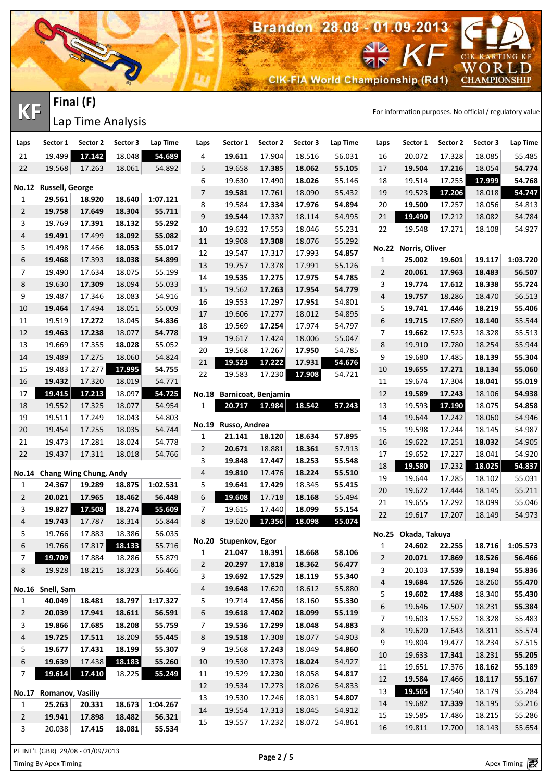

Lap Time Analysis

| Laps           | Sector 1               | Sector 2               | Sector 3 | Lap Time | Laps           | Sector 1              | Sector 2                  | Sector 3 | Lap Time | Laps             | Sector 1             | Sector 2 | Sector 3 | Lap Time |
|----------------|------------------------|------------------------|----------|----------|----------------|-----------------------|---------------------------|----------|----------|------------------|----------------------|----------|----------|----------|
| 21             | 19.499                 | 17.142                 | 18.048   | 54.689   | 4              | 19.611                | 17.904                    | 18.516   | 56.031   | 16               | 20.072               | 17.328   | 18.085   | 55.485   |
| 22             | 19.568                 | 17.263                 | 18.061   | 54.892   | 5              | 19.658                | 17.385                    | 18.062   | 55.105   | 17               | 19.504               | 17.216   | 18.054   | 54.774   |
|                |                        |                        |          |          | 6              | 19.630                | 17.490                    | 18.026   | 55.146   | 18               | 19.514               | 17.255   | 17.999   | 54.768   |
|                | No.12 Russell, George  |                        |          |          | $\overline{7}$ | 19.581                | 17.761                    | 18.090   | 55.432   | 19               | 19.523               | 17.206   | 18.018   | 54.747   |
| 1              | 29.561                 | 18.920                 | 18.640   | 1:07.121 | 8              | 19.584                | 17.334                    | 17.976   | 54.894   | 20               | 19.500               | 17.257   | 18.056   | 54.813   |
| 2              | 19.758                 | 17.649                 | 18.304   | 55.711   | 9              | 19.544                | 17.337                    | 18.114   | 54.995   | 21               | 19.490               | 17.212   | 18.082   | 54.784   |
| 3              | 19.769                 | 17.391                 | 18.132   | 55.292   | 10             | 19.632                | 17.553                    | 18.046   | 55.231   | 22               | 19.548               | 17.271   | 18.108   | 54.927   |
| 4              | 19.491                 | 17.499                 | 18.092   | 55.082   | 11             | 19.908                | 17.308                    | 18.076   | 55.292   |                  |                      |          |          |          |
| 5              | 19.498                 | 17.466                 | 18.053   | 55.017   | 12             | 19.547                | 17.317                    | 17.993   | 54.857   |                  | No.22 Norris, Oliver |          |          |          |
| 6              | 19.468                 | 17.393                 | 18.038   | 54.899   | 13             | 19.757                | 17.378                    | 17.991   | 55.126   | 1                | 25.002               | 19.601   | 19.117   | 1:03.720 |
| 7              | 19.490                 | 17.634                 | 18.075   | 55.199   | 14             | 19.535                | 17.275                    | 17.975   | 54.785   | $\overline{2}$   | 20.061               | 17.963   | 18.483   | 56.507   |
| 8              | 19.630                 | 17.309                 | 18.094   | 55.033   | 15             | 19.562                | 17.263                    | 17.954   | 54.779   | 3                | 19.774               | 17.612   | 18.338   | 55.724   |
| 9              | 19.487                 | 17.346                 | 18.083   | 54.916   | 16             | 19.553                | 17.297                    | 17.951   | 54.801   | 4                | 19.757               | 18.286   | 18.470   | 56.513   |
| 10             | 19.464                 | 17.494                 | 18.051   | 55.009   | 17             | 19.606                | 17.277                    | 18.012   | 54.895   | 5                | 19.741               | 17.446   | 18.219   | 55.406   |
| 11             | 19.519                 | 17.272                 | 18.045   | 54.836   | 18             | 19.569                | 17.254                    | 17.974   | 54.797   | 6                | 19.715               | 17.689   | 18.140   | 55.544   |
| 12             | 19.463                 | 17.238                 | 18.077   | 54.778   | 19             | 19.617                | 17.424                    | 18.006   | 55.047   | $\overline{7}$   | 19.662               | 17.523   | 18.328   | 55.513   |
| 13             | 19.669                 | 17.355                 | 18.028   | 55.052   | 20             | 19.568                | 17.267                    | 17.950   | 54.785   | 8                | 19.910               | 17.780   | 18.254   | 55.944   |
| 14             | 19.489                 | 17.275                 | 18.060   | 54.824   | 21             | 19.523                | 17.222                    | 17.931   | 54.676   | 9                | 19.680               | 17.485   | 18.139   | 55.304   |
| 15             | 19.483                 | 17.277                 | 17.995   | 54.755   | 22             | 19.583                | 17.230                    | 17.908   | 54.721   | 10               | 19.655               | 17.271   | 18.134   | 55.060   |
| 16             | 19.432                 | 17.320                 | 18.019   | 54.771   |                |                       |                           |          |          | 11               | 19.674               | 17.304   | 18.041   | 55.019   |
| 17             | 19.415                 | 17.213                 | 18.097   | 54.725   |                |                       | No.18 Barnicoat, Benjamin |          |          | 12               | 19.589               | 17.243   | 18.106   | 54.938   |
| 18             | 19.552                 | 17.325                 | 18.077   | 54.954   | 1              | 20.717                | 17.984                    | 18.542   | 57.243   | 13               | 19.593               | 17.190   | 18.075   | 54.858   |
| 19             | 19.511                 | 17.249                 | 18.043   | 54.803   | <b>No.19</b>   | Russo, Andrea         |                           |          |          | 14               | 19.644               | 17.242   | 18.060   | 54.946   |
| 20             | 19.454                 | 17.255                 | 18.035   | 54.744   | 1              | 21.141                | 18.120                    | 18.634   | 57.895   | 15               | 19.598               | 17.244   | 18.145   | 54.987   |
| 21             | 19.473                 | 17.281                 | 18.024   | 54.778   | $\overline{2}$ | 20.671                | 18.881                    | 18.361   | 57.913   | 16               | 19.622               | 17.251   | 18.032   | 54.905   |
| 22             | 19.437                 | 17.311                 | 18.018   | 54.766   | 3              | 19.848                | 17.447                    | 18.253   | 55.548   | 17               | 19.652               | 17.227   | 18.041   | 54.920   |
| No.14          |                        | Chang Wing Chung, Andy |          |          | 4              | 19.810                | 17.476                    | 18.224   | 55.510   | 18               | 19.580               | 17.232   | 18.025   | 54.837   |
| 1              | 24.367                 | 19.289                 | 18.875   | 1:02.531 | 5              | 19.641                | 17.429                    | 18.345   | 55.415   | 19               | 19.644               | 17.285   | 18.102   | 55.031   |
| $\overline{2}$ | 20.021                 | 17.965                 | 18.462   | 56.448   | 6              | 19.608                | 17.718                    | 18.168   | 55.494   | 20               | 19.622               | 17.444   | 18.145   | 55.211   |
| 3              | 19.827                 | 17.508                 | 18.274   | 55.609   | 7 <sup>7</sup> | 19.615                | 17.440                    | 18.099   | 55.154   | 21               | 19.655               | 17.292   | 18.099   | 55.046   |
| 4              | 19.743                 | 17.787                 | 18.314   | 55.844   | 8              | 19.620                | 17.356                    | 18.098   | 55.074   | 22               | 19.617               | 17.207   | 18.149   | 54.973   |
| 5              | 19.766                 | 17.883                 | 18.386   | 56.035   |                |                       |                           |          |          | <b>No.25</b>     | Okada, Takuya        |          |          |          |
| 6              | 19.766                 | 17.817                 | 18.133   | 55.716   |                | No.20 Stupenkov, Egor |                           |          |          | 1                | 24.602               | 22.255   | 18.716   | 1:05.573 |
| 7              | 19.709                 | 17.884                 | 18.286   | 55.879   | 1              | 21.047                | 18.391                    | 18.668   | 58.106   | $\overline{2}$   | 20.071               | 17.869   | 18.526   | 56.466   |
| 8              | 19.928                 | 18.215                 | 18.323   | 56.466   | $\overline{a}$ | 20.297                | 17.818                    | 18.362   | 56.477   | 3                | 20.103               | 17.539   | 18.194   | 55.836   |
|                |                        |                        |          |          | 3              | 19.692                | 17.529                    | 18.119   | 55.340   | 4                | 19.684               | 17.526   | 18.260   | 55.470   |
|                | No.16 Snell, Sam       |                        |          |          | 4              | 19.648                | 17.620                    | 18.612   | 55.880   | 5                | 19.602               | 17.488   | 18.340   | 55.430   |
| 1              | 40.049                 | 18.481                 | 18.797   | 1:17.327 | 5              | 19.714                | 17.456                    | 18.160   | 55.330   | $\boldsymbol{6}$ | 19.646               | 17.507   | 18.231   | 55.384   |
| 2              | 20.039                 | 17.941                 | 18.611   | 56.591   | 6              | 19.618                | 17.402                    | 18.099   | 55.119   | 7                | 19.603               | 17.552   | 18.328   | 55.483   |
| 3              | 19.866                 | 17.685                 | 18.208   | 55.759   | 7 <sup>7</sup> | 19.536                | 17.299                    | 18.048   | 54.883   | 8                | 19.620               | 17.643   | 18.311   | 55.574   |
| 4              | 19.725                 | 17.511                 | 18.209   | 55.445   | 8              | 19.518                | 17.308                    | 18.077   | 54.903   | 9                | 19.804               | 19.477   | 18.234   | 57.515   |
| 5              | 19.677                 | 17.431                 | 18.199   | 55.307   | 9              | 19.568                | 17.243                    | 18.049   | 54.860   | $10\,$           | 19.633               | 17.341   | 18.231   | 55.205   |
| 6              | 19.639                 | 17.438                 | 18.183   | 55.260   | 10             | 19.530                | 17.373                    | 18.024   | 54.927   | 11               | 19.651               | 17.376   | 18.162   | 55.189   |
| 7              | 19.614                 | 17.410                 | 18.225   | 55.249   | 11             | 19.529                | 17.230                    | 18.058   | 54.817   | 12               | 19.584               | 17.466   | 18.117   | 55.167   |
|                |                        |                        |          |          | 12             | 19.534                | 17.273                    | 18.026   | 54.833   | 13               | 19.565               | 17.540   | 18.179   | 55.284   |
|                | No.17 Romanov, Vasiliy |                        |          |          | 13             | 19.530                | 17.246                    | 18.031   | 54.807   |                  |                      |          |          | 55.216   |
| 1              | 25.263                 | 20.331                 | 18.673   | 1:04.267 | 14             | 19.554                | 17.313                    | 18.045   | 54.912   | 14<br>15         | 19.682<br>19.585     | 17.339   | 18.195   |          |
| $\overline{2}$ | 19.941                 | 17.898                 | 18.482   | 56.321   | 15             | 19.557                | 17.232                    | 18.072   | 54.861   |                  |                      | 17.486   | 18.215   | 55.286   |
| 3              | 20.038                 | 17.415                 | 18.081   | 55.534   |                |                       |                           |          |          | 16               | 19.811               | 17.700   | 18.143   | 55.654   |

Apex Timing - timing solutions and services http://www.apex-timing.com/ Timing By Apex Timing Apex Timing PF INT'L (GBR) 29/08 - 01/09/2013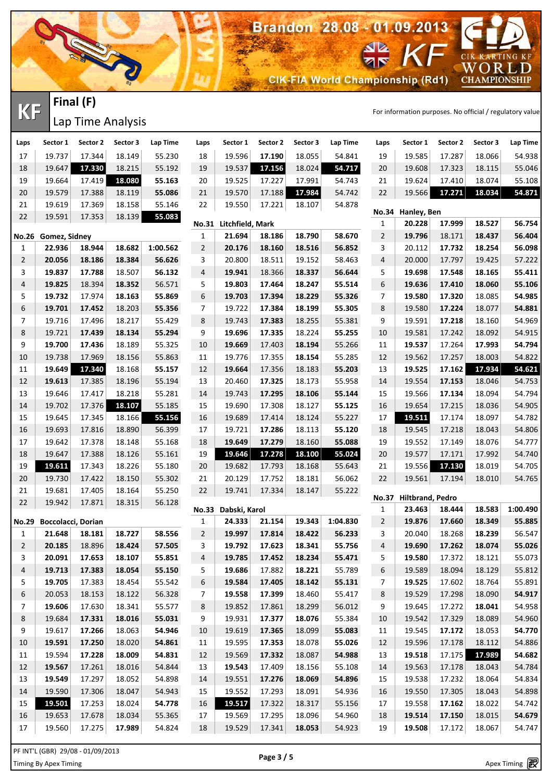**CIK-FIA World Championship (Rd1)** 

Brandon 28.08 - 01.09.2013

**KF** FINCH (F)<br> **KF** Time Applysis

CIK KARTING KF

WORLD<br>CHAMPIONSHIP

Lap Time Analysis

RECT

**Final (F)**

| Laps                | Sector 1                          | Sector 2 | Sector 3 | Lap Time | Laps           | Sector 1                         | Sector 2 | Sector 3 | Lap Time | Laps                | Sector 1                | Sector 2 | Sector 3         | Lap Time         |
|---------------------|-----------------------------------|----------|----------|----------|----------------|----------------------------------|----------|----------|----------|---------------------|-------------------------|----------|------------------|------------------|
| 17                  | 19.737                            | 17.344   | 18.149   | 55.230   | 18             | 19.596                           | 17.190   | 18.055   | 54.841   | 19                  | 19.585                  | 17.287   | 18.066           | 54.938           |
| 18                  | 19.647                            | 17.330   | 18.215   | 55.192   | 19             | 19.537                           | 17.156   | 18.024   | 54.717   | 20                  | 19.608                  | 17.323   | 18.115           | 55.046           |
| 19                  | 19.664                            | 17.419   | 18.080   | 55.163   | 20             | 19.525                           | 17.227   | 17.991   | 54.743   | 21                  | 19.624                  | 17.410   | 18.074           | 55.108           |
| $20\,$              | 19.579                            | 17.388   | 18.119   | 55.086   | 21             | 19.570                           | 17.188   | 17.984   | 54.742   | 22                  | 19.566                  | 17.271   | 18.034           | 54.871           |
| 21                  | 19.619                            | 17.369   | 18.158   | 55.146   | 22             | 19.550                           | 17.221   | 18.107   | 54.878   |                     |                         |          |                  |                  |
| 22                  | 19.591                            | 17.353   | 18.139   | 55.083   |                |                                  |          |          |          |                     | No.34 Hanley, Ben       | 17.999   |                  |                  |
|                     |                                   |          |          |          | 1              | No.31 Litchfield, Mark<br>21.694 | 18.186   | 18.790   | 58.670   | 1<br>$\overline{2}$ | 20.228<br>19.796        | 18.171   | 18.527<br>18.437 | 56.754<br>56.404 |
|                     | No.26 Gomez, Sidney<br>22.936     | 18.944   | 18.682   | 1:00.562 | $\overline{c}$ | 20.176                           | 18.160   | 18.516   | 56.852   | 3                   | 20.112                  | 17.732   | 18.254           | 56.098           |
| 1<br>$\overline{2}$ | 20.056                            | 18.186   | 18.384   | 56.626   | 3              | 20.800                           | 18.511   | 19.152   | 58.463   | 4                   | 20.000                  | 17.797   | 19.425           | 57.222           |
| 3                   | 19.837                            | 17.788   | 18.507   | 56.132   | 4              | 19.941                           | 18.366   | 18.337   | 56.644   | 5                   | 19.698                  | 17.548   | 18.165           | 55.411           |
| 4                   | 19.825                            | 18.394   | 18.352   | 56.571   | 5              | 19.803                           | 17.464   | 18.247   | 55.514   | 6                   | 19.636                  | 17.410   | 18.060           | 55.106           |
| 5                   | 19.732                            | 17.974   | 18.163   | 55.869   | 6              | 19.703                           | 17.394   | 18.229   | 55.326   | 7                   | 19.580                  | 17.320   | 18.085           | 54.985           |
| 6                   | 19.701                            | 17.452   | 18.203   | 55.356   | 7              | 19.722                           | 17.384   | 18.199   | 55.305   | 8                   | 19.580                  | 17.224   | 18.077           | 54.881           |
| 7                   | 19.716                            | 17.496   | 18.217   | 55.429   | 8              | 19.743                           | 17.383   | 18.255   | 55.381   | 9                   | 19.591                  | 17.218   | 18.160           | 54.969           |
| 8                   | 19.721                            | 17.439   | 18.134   | 55.294   | 9              | 19.696                           | 17.335   | 18.224   | 55.255   | 10                  | 19.581                  | 17.242   | 18.092           | 54.915           |
| 9                   | 19.700                            | 17.436   | 18.189   | 55.325   | 10             | 19.669                           | 17.403   | 18.194   | 55.266   | 11                  | 19.537                  | 17.264   | 17.993           | 54.794           |
| 10                  | 19.738                            | 17.969   | 18.156   | 55.863   | 11             | 19.776                           | 17.355   | 18.154   | 55.285   | 12                  | 19.562                  | 17.257   | 18.003           | 54.822           |
| 11                  | 19.649                            | 17.340   | 18.168   | 55.157   | 12             | 19.664                           | 17.356   | 18.183   | 55.203   | 13                  | 19.525                  | 17.162   | 17.934           | 54.621           |
| $12\,$              | 19.613                            | 17.385   | 18.196   | 55.194   | 13             | 20.460                           | 17.325   | 18.173   | 55.958   | 14                  | 19.554                  | 17.153   | 18.046           | 54.753           |
| 13                  | 19.646                            | 17.417   | 18.218   | 55.281   | 14             | 19.743                           | 17.295   | 18.106   | 55.144   | 15                  | 19.566                  | 17.134   | 18.094           | 54.794           |
| 14                  | 19.702                            | 17.376   | 18.107   | 55.185   | 15             | 19.690                           | 17.308   | 18.127   | 55.125   | 16                  | 19.654                  | 17.215   | 18.036           | 54.905           |
| 15                  | 19.645                            | 17.345   | 18.166   | 55.156   | $16\,$         | 19.689                           | 17.414   | 18.124   | 55.227   | 17                  | 19.511                  | 17.174   | 18.097           | 54.782           |
| 16                  | 19.693                            | 17.816   | 18.890   | 56.399   | 17             | 19.721                           | 17.286   | 18.113   | 55.120   | 18                  | 19.545                  | 17.218   | 18.043           | 54.806           |
| 17                  | 19.642                            | 17.378   | 18.148   | 55.168   | 18             | 19.649                           | 17.279   | 18.160   | 55.088   | 19                  | 19.552                  | 17.149   | 18.076           | 54.777           |
| $18\,$              | 19.647                            | 17.388   | 18.126   | 55.161   | 19             | 19.646                           | 17.278   | 18.100   | 55.024   | $20\,$              | 19.577                  | 17.171   | 17.992           | 54.740           |
| 19                  | 19.611                            | 17.343   | 18.226   | 55.180   | 20             | 19.682                           | 17.793   | 18.168   | 55.643   | 21                  | 19.556                  | 17.130   | 18.019           | 54.705           |
| 20                  | 19.730                            | 17.422   | 18.150   | 55.302   | 21             | 20.129                           | 17.752   | 18.181   | 56.062   | 22                  | 19.561                  | 17.194   | 18.010           | 54.765           |
| 21                  | 19.681                            | 17.405   | 18.164   | 55.250   | 22             | 19.741                           | 17.334   | 18.147   | 55.222   |                     |                         |          |                  |                  |
| 22                  | 19.942                            | 17.871   | 18.315   | 56.128   |                |                                  |          |          |          | <b>No.37</b>        | <b>Hiltbrand, Pedro</b> |          |                  |                  |
|                     |                                   |          |          |          |                | No.33 Dabski, Karol              |          |          |          | 1                   | 23.463                  | 18.444   | 18.583           | 1:00.490         |
| <b>No.29</b>        | <b>Boccolacci, Dorian</b>         |          |          |          | $\mathbf{1}$   | 24.333                           | 21.154   | 19.343   | 1:04.830 | $\overline{2}$      | 19.876                  | 17.660   | 18.349           | 55.885           |
| 1                   | 21.648                            | 18.181   | 18.727   | 58.556   | $\overline{2}$ | 19.997                           | 17.814   | 18.422   | 56.233   | 3                   | 20.040                  | 18.268   | 18.239           | 56.547           |
| $\overline{c}$      | 20.185                            | 18.896   | 18.424   | 57.505   | 3              | 19.792                           | 17.623   | 18.341   | 55.756   | 4                   | 19.690                  | 17.262   | 18.074           | 55.026           |
| 3                   | 20.091                            | 17.653   | 18.107   | 55.851   | 4              | 19.785                           | 17.452   | 18.234   | 55.471   | 5                   | 19.580                  | 17.372   | 18.121           | 55.073           |
| 4                   | 19.713                            | 17.383   | 18.054   | 55.150   | 5              | 19.686                           | 17.882   | 18.221   | 55.789   | 6                   | 19.589                  | 18.094   | 18.129           | 55.812           |
| 5                   | 19.705                            | 17.383   | 18.454   | 55.542   | 6              | 19.584                           | 17.405   | 18.142   | 55.131   | 7                   | 19.525                  | 17.602   | 18.764           | 55.891           |
| 6                   | 20.053                            | 18.153   | 18.122   | 56.328   | 7              | 19.558                           | 17.399   | 18.460   | 55.417   | 8                   | 19.529                  | 17.298   | 18.090           | 54.917           |
| 7                   | 19.606                            | 17.630   | 18.341   | 55.577   | 8              | 19.852                           | 17.861   | 18.299   | 56.012   | 9                   | 19.645                  | 17.272   | 18.041           | 54.958           |
| 8                   | 19.684                            | 17.331   | 18.016   | 55.031   | 9              | 19.931                           | 17.377   | 18.076   | 55.384   | 10                  | 19.542                  | 17.329   | 18.089           | 54.960           |
| 9                   | 19.617                            | 17.266   | 18.063   | 54.946   | 10             | 19.619                           | 17.365   | 18.099   | 55.083   | 11                  | 19.545                  | 17.172   | 18.053           | 54.770           |
| 10                  | 19.591                            | 17.250   | 18.020   | 54.861   | 11             | 19.595                           | 17.353   | 18.078   | 55.026   | 12                  | 19.596                  | 17.178   | 18.112           | 54.886           |
| 11                  | 19.594                            | 17.228   | 18.009   | 54.831   | 12             | 19.569                           | 17.332   | 18.087   | 54.988   | 13                  | 19.518                  | 17.175   | 17.989           | 54.682           |
| 12                  | 19.567                            | 17.261   | 18.016   | 54.844   | 13             | 19.543                           | 17.409   | 18.156   | 55.108   | 14                  | 19.563                  | 17.178   | 18.043           | 54.784           |
| 13                  | 19.549                            | 17.297   | 18.052   | 54.898   | 14             | 19.551                           | 17.276   | 18.069   | 54.896   | 15                  | 19.538                  | 17.232   | 18.064           | 54.834           |
| 14                  | 19.590                            | 17.306   | 18.047   | 54.943   | 15             | 19.552                           | 17.293   | 18.091   | 54.936   | 16                  | 19.550                  | 17.305   | 18.043           | 54.898           |
| 15                  | 19.501                            | 17.253   | 18.024   | 54.778   | 16             | 19.517                           | 17.322   | 18.317   | 55.156   | 17                  | 19.558                  | 17.162   | 18.022           | 54.742           |
| 16                  | 19.653                            | 17.678   | 18.034   | 55.365   | 17             | 19.569                           | 17.295   | 18.096   | 54.960   | 18                  | 19.514                  | 17.150   | 18.015           | 54.679           |
| 17                  | 19.560                            | 17.275   | 17.989   | 54.824   | 18             | 19.529                           | 17.341   | 18.053   | 54.923   | 19                  | 19.508                  | 17.172   | 18.067           | 54.747           |
|                     | PF INT'L (GBR) 29/08 - 01/09/2013 |          |          |          |                |                                  |          |          |          |                     |                         |          |                  |                  |

£.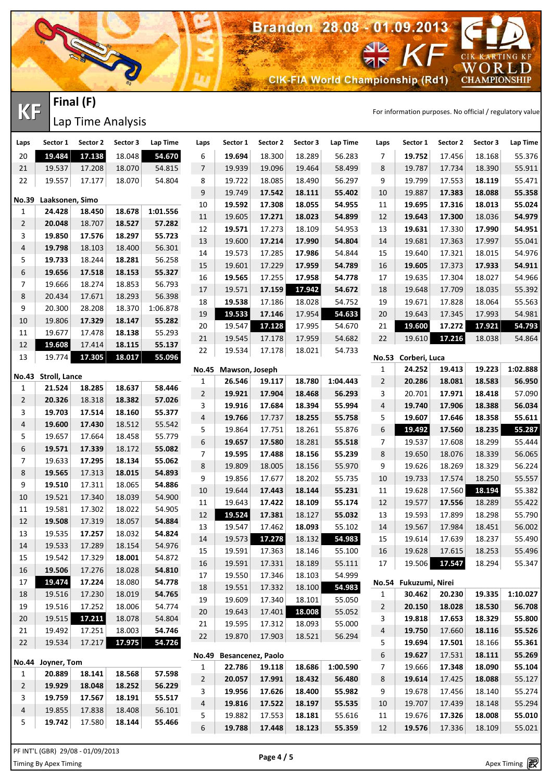

Lap Time Analysis

| Laps             | Sector 1            | Sector 2 | Sector 3 | Lap Time | Laps           | Sector 1       | Sector 2                 | Sector 3 | Lap Time | Laps                | Sector 1              | Sector 2 | Sector 3         | Lap Time |
|------------------|---------------------|----------|----------|----------|----------------|----------------|--------------------------|----------|----------|---------------------|-----------------------|----------|------------------|----------|
| 20               | 19.484              | 17.138   | 18.048   | 54.670   | 6              | 19.694         | 18.300                   | 18.289   | 56.283   | $\overline{7}$      | 19.752                | 17.456   | 18.168           | 55.376   |
| 21               | 19.537              | 17.208   | 18.070   | 54.815   | $\overline{7}$ | 19.939         | 19.096                   | 19.464   | 58.499   | 8                   | 19.787                | 17.734   | 18.390           | 55.911   |
| 22               | 19.557              | 17.177   | 18.070   | 54.804   | 8              | 19.722         | 18.085                   | 18.490   | 56.297   | 9                   | 19.799                | 17.553   | 18.119           | 55.471   |
|                  |                     |          |          |          | 9              | 19.749         | 17.542                   | 18.111   | 55.402   | 10                  | 19.887                | 17.383   | 18.088           | 55.358   |
| <b>No.39</b>     | Laaksonen, Simo     |          |          |          | 10             | 19.592         | 17.308                   | 18.055   | 54.955   | 11                  | 19.695                | 17.316   | 18.013           | 55.024   |
| 1                | 24.428              | 18.450   | 18.678   | 1:01.556 | $11\,$         | 19.605         | 17.271                   | 18.023   | 54.899   | 12                  | 19.643                | 17.300   | 18.036           | 54.979   |
| $\overline{2}$   | 20.048              | 18.707   | 18.527   | 57.282   | 12             | 19.571         | 17.273                   | 18.109   | 54.953   | 13                  | 19.631                | 17.330   | 17.990           | 54.951   |
| 3                | 19.850              | 17.576   | 18.297   | 55.723   | 13             | 19.600         | 17.214                   | 17.990   | 54.804   | 14                  | 19.681                | 17.363   | 17.997           | 55.041   |
| 4                | 19.798              | 18.103   | 18.400   | 56.301   | 14             | 19.573         | 17.285                   | 17.986   | 54.844   | 15                  | 19.640                | 17.321   | 18.015           | 54.976   |
| 5                | 19.733              | 18.244   | 18.281   | 56.258   | 15             | 19.601         | 17.229                   | 17.959   | 54.789   | 16                  | 19.605                | 17.373   | 17.933           | 54.911   |
| 6                | 19.656              | 17.518   | 18.153   | 55.327   | 16             | 19.565         | 17.255                   | 17.958   | 54.778   | 17                  | 19.635                | 17.304   | 18.027           | 54.966   |
| $\overline{7}$   | 19.666              | 18.274   | 18.853   | 56.793   | 17             | 19.571         | 17.159                   | 17.942   | 54.672   | 18                  | 19.648                | 17.709   | 18.035           | 55.392   |
| 8                | 20.434              | 17.671   | 18.293   | 56.398   | 18             | 19.538         | 17.186                   | 18.028   | 54.752   | 19                  | 19.671                | 17.828   | 18.064           | 55.563   |
| $\boldsymbol{9}$ | 20.300              | 28.208   | 18.370   | 1:06.878 | 19             | 19.533         | 17.146                   | 17.954   | 54.633   | 20                  | 19.643                | 17.345   | 17.993           | 54.981   |
| 10               | 19.806              | 17.329   | 18.147   | 55.282   | 20             | 19.547         | 17.128                   | 17.995   | 54.670   | 21                  | 19.600                | 17.272   | 17.921           | 54.793   |
| 11               | 19.677              | 17.478   | 18.138   | 55.293   | 21             | 19.545         | 17.178                   | 17.959   | 54.682   | 22                  | 19.610                | 17.216   | 18.038           | 54.864   |
| 12               | 19.608              | 17.414   | 18.115   | 55.137   | 22             | 19.534         | 17.178                   | 18.021   | 54.733   |                     |                       |          |                  |          |
| 13               | 19.774              | 17.305   | 18.017   | 55.096   |                |                |                          |          |          |                     | No.53 Corberi, Luca   |          |                  |          |
|                  | No.43 Stroll, Lance |          |          |          | <b>No.45</b>   | Mawson, Joseph |                          |          |          | 1                   | 24.252                | 19.413   | 19.223           | 1:02.888 |
| 1                | 21.524              | 18.285   | 18.637   | 58.446   | $\mathbf{1}$   | 26.546         | 19.117                   | 18.780   | 1:04.443 | $\overline{c}$      | 20.286                | 18.081   | 18.583           | 56.950   |
| $\overline{2}$   | 20.326              | 18.318   | 18.382   | 57.026   | $\overline{2}$ | 19.921         | 17.904                   | 18.468   | 56.293   | 3                   | 20.701                | 17.971   | 18.418           | 57.090   |
| 3                | 19.703              | 17.514   | 18.160   | 55.377   | 3              | 19.916         | 17.684                   | 18.394   | 55.994   | 4                   | 19.740                | 17.906   | 18.388           | 56.034   |
| 4                | 19.600              | 17.430   | 18.512   | 55.542   | 4              | 19.766         | 17.737                   | 18.255   | 55.758   | 5                   | 19.607                | 17.646   | 18.358           | 55.611   |
| 5                | 19.657              | 17.664   | 18.458   | 55.779   | 5              | 19.864         | 17.751                   | 18.261   | 55.876   | $\,$ 6 $\,$         | 19.492                | 17.560   | 18.235           | 55.287   |
| 6                | 19.571              | 17.339   | 18.172   | 55.082   | 6              | 19.657         | 17.580                   | 18.281   | 55.518   | 7                   | 19.537                | 17.608   | 18.299           | 55.444   |
| $\overline{7}$   | 19.633              | 17.295   | 18.134   | 55.062   | $\overline{7}$ | 19.595         | 17.488                   | 18.156   | 55.239   | 8                   | 19.650                | 18.076   | 18.339           | 56.065   |
| 8                | 19.565              | 17.313   | 18.015   | 54.893   | 8              | 19.809         | 18.005                   | 18.156   | 55.970   | 9                   | 19.626                | 18.269   | 18.329           | 56.224   |
| 9                | 19.510              | 17.311   | 18.065   | 54.886   | 9              | 19.856         | 17.677                   | 18.202   | 55.735   | 10                  | 19.733                | 17.574   | 18.250           | 55.557   |
| 10               | 19.521              | 17.340   | 18.039   | 54.900   | $10\,$         | 19.644         | 17.443                   | 18.144   | 55.231   | 11                  | 19.628                | 17.560   | 18.194           | 55.382   |
| 11               | 19.581              | 17.302   | 18.022   | 54.905   | 11             | 19.643         | 17.422                   | 18.109   | 55.174   | 12                  | 19.577                | 17.556   | 18.289           | 55.422   |
| 12               | 19.508              | 17.319   | 18.057   | 54.884   | 12             | 19.524         | 17.381                   | 18.127   | 55.032   | 13                  | 19.593                | 17.899   | 18.298           | 55.790   |
| 13               | 19.535              | 17.257   | 18.032   | 54.824   | 13             | 19.547         | 17.462                   | 18.093   | 55.102   | 14                  | 19.567                | 17.984   | 18.451           | 56.002   |
| 14               | 19.533              | 17.289   | 18.154   | 54.976   | 14             | 19.573         | 17.278                   | 18.132   | 54.983   | 15                  | 19.614                | 17.639   | 18.237           | 55.490   |
| 15               | 19.542              | 17.329   | 18.001   | 54.872   | 15             | 19.591         | 17.363                   | 18.146   | 55.100   | 16                  | 19.628                | 17.615   | 18.253           | 55.496   |
| 16               | 19.506              | 17.276   | 18.028   | 54.810   | 16             | 19.591         | 17.331                   | 18.189   | 55.111   | 17                  | 19.506                | 17.547   | 18.294           | 55.347   |
| 17               | 19.474              | 17.224   | 18.080   | 54.778   | 17             | 19.550         | 17.346                   | 18.103   | 54.999   |                     | No.54 Fukuzumi, Nirei |          |                  |          |
| 18               | 19.516              | 17.230   | 18.019   | 54.765   | 18             | 19.551         | 17.332                   | 18.100   | 54.983   | 1                   | 30.462                | 20.230   | 19.335           | 1:10.027 |
| 19               | 19.516              | 17.252   | 18.006   | 54.774   | 19             | 19.609         | 17.340                   | 18.101   | 55.050   | $\overline{c}$      | 20.150                | 18.028   | 18.530           | 56.708   |
| 20               | 19.515              | 17.211   | 18.078   | 54.804   | 20             | 19.643         | 17.401                   | 18.008   | 55.052   | 3                   | 19.818                | 17.653   | 18.329           | 55.800   |
| 21               | 19.492              | 17.251   | 18.003   | 54.746   | 21             | 19.595         | 17.312                   | 18.093   | 55.000   | 4                   | 19.750                |          |                  |          |
|                  |                     |          |          |          | 22             | 19.870         | 17.903                   | 18.521   | 56.294   |                     |                       | 17.660   | 18.116           | 55.526   |
| 22               | 19.534              | 17.217   | 17.975   | 54.726   |                |                |                          |          |          | 5                   | 19.694                | 17.501   | 18.166           | 55.361   |
| <b>No.44</b>     | Joyner, Tom         |          |          |          | <b>No.49</b>   | 22.786         | <b>Besancenez, Paolo</b> | 18.686   | 1:00.590 | 6<br>$\overline{7}$ | 19.627<br>19.666      | 17.531   | 18.111<br>18.090 | 55.269   |
| 1                | 20.889              | 18.141   | 18.568   | 57.598   | 1              |                | 19.118                   |          |          |                     |                       | 17.348   |                  | 55.104   |
| $\overline{2}$   | 19.929              | 18.048   | 18.252   | 56.229   | $\overline{2}$ | 20.057         | 17.991                   | 18.432   | 56.480   | 8                   | 19.614                | 17.425   | 18.088           | 55.127   |
| 3                | 19.759              | 17.567   | 18.191   | 55.517   | 3              | 19.956         | 17.626                   | 18.400   | 55.982   | 9                   | 19.678                | 17.456   | 18.140           | 55.274   |
| 4                | 19.855              | 17.838   | 18.408   | 56.101   | 4              | 19.816         | 17.522                   | 18.197   | 55.535   | 10                  | 19.707                | 17.439   | 18.148           | 55.294   |
| 5                | 19.742              | 17.580   | 18.144   | 55.466   | 5              | 19.882         | 17.553                   | 18.181   | 55.616   | 11                  | 19.676                | 17.326   | 18.008           | 55.010   |
|                  |                     |          |          |          | 6              | 19.788         | 17.448                   | 18.123   | 55.359   | 12                  | 19.576                | 17.336   | 18.109           | 55.021   |

Apex Timing and services http://www.apex.com/homography.com/homography.com/homography.com/homography.com/homogr<br>Timing By Apex Timing and services http://www.apex.com/homography.com/homography.com/homography.com/homography PF INT'L (GBR) 29/08 - 01/09/2013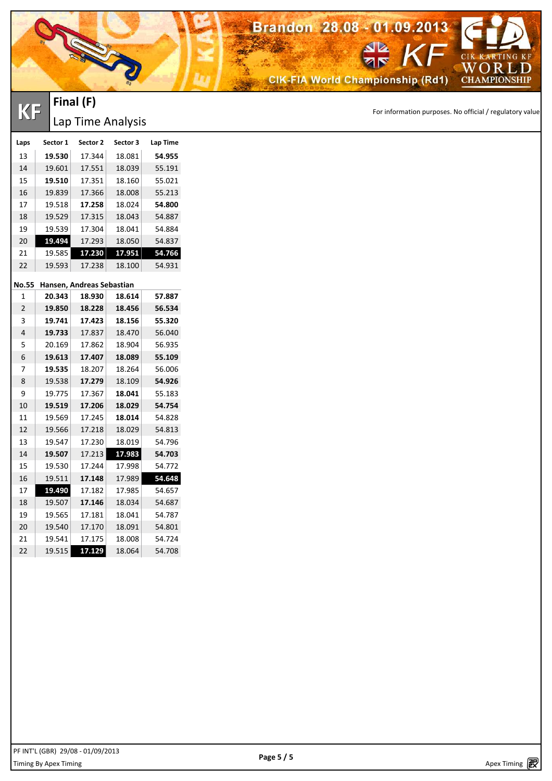

**KF** FINCH (F)<br> **KF** Time Applysis

## **Final (F)** Lap Time Analysis

| Laps           | Sector 1 | Sector 2                  | Sector 3 | Lap Time |
|----------------|----------|---------------------------|----------|----------|
| 13             | 19.530   | 17.344                    | 18.081   | 54.955   |
| 14             | 19.601   | 17.551                    | 18.039   | 55.191   |
| 15             | 19.510   | 17.351                    | 18.160   | 55.021   |
| 16             | 19.839   | 17.366                    | 18.008   | 55.213   |
| 17             | 19.518   | 17.258                    | 18.024   | 54.800   |
| 18             | 19.529   | 17.315                    | 18.043   | 54.887   |
| 19             | 19.539   | 17.304                    | 18.041   | 54.884   |
| 20             | 19.494   | 17.293                    | 18.050   | 54.837   |
| 21             | 19.585   | 17.230                    | 17.951   | 54.766   |
| 22             | 19.593   | 17.238                    | 18.100   | 54.931   |
| No.55          |          | Hansen, Andreas Sebastian |          |          |
| 1              | 20.343   | 18.930                    | 18.614   | 57.887   |
| $\overline{2}$ | 19.850   | 18.228                    | 18.456   | 56.534   |
| 3              | 19.741   | 17.423                    | 18.156   | 55.320   |
| 4              | 19.733   | 17.837                    | 18.470   | 56.040   |
| 5              | 20.169   | 17.862                    | 18.904   | 56.935   |
| 6              | 19.613   | 17.407                    | 18.089   | 55.109   |
| 7              | 19.535   | 18.207                    | 18.264   | 56.006   |
| 8              | 19.538   | 17.279                    | 18.109   | 54.926   |
| 9              | 19.775   | 17.367                    | 18.041   | 55.183   |
| 10             | 19.519   | 17.206                    | 18.029   | 54.754   |
| 11             | 19.569   | 17.245                    | 18.014   | 54.828   |
| 12             | 19.566   | 17.218                    | 18.029   | 54.813   |
| 13             | 19.547   | 17.230                    | 18.019   | 54.796   |
| 14             | 19.507   | 17.213                    | 17.983   | 54.703   |
| 15             | 19.530   | 17.244                    | 17.998   | 54.772   |
| 16             | 19.511   | 17.148                    | 17.989   | 54.648   |
| 17             | 19.490   | 17.182                    | 17.985   | 54.657   |
| 18             | 19.507   | 17.146                    | 18.034   | 54.687   |
| 19             | 19.565   | 17.181                    | 18.041   | 54.787   |
| 20             | 19.540   | 17.170                    | 18.091   | 54.801   |
| 21             | 19.541   | 17.175                    | 18.008   | 54.724   |
| 22             | 19.515   | 17.129                    | 18.064   | 54.708   |